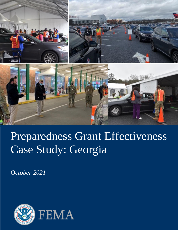

# Preparedness Grant Effectiveness Case Study: Georgia

*October 2021*

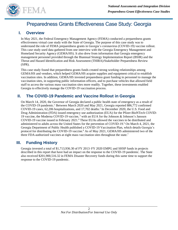

## Preparedness Grants Effectiveness Case Study: Georgia

## **I. Overview**

In May 2021, the Federal Emergency Management Agency (FEMA) conducted a preparedness grants effectiveness virtual case study with the State of Georgia. The purpose of this case study was to understand the role of FEMA preparedness grants in Georgia's coronavirus (COVID-19) vaccine rollout. This case study used data gathered from one interview with the Georgia Emergency Management and Homeland Security Agency (GEMA/HS). It also drew from information that Georgia emergency management personnel provided through the Biannual Strategy Implementation Report (BSIR) and the Threat and Hazard Identification and Risk Assessment (THIRA)/Stakeholder Preparedness Review (SPR).

This case study found that preparedness grants funds created strong working relationships among GEMA/HS and vendors, which helped GEMA/HS acquire supplies and equipment critical to establish vaccination sites. In addition, GEMA/HS invested preparedness grant funding in personnel to manage the vaccination sites, in supporting public information officers, and to purchase vehicles that allowed field staff to access the various mass vaccination sites more readily. Together, these investments enabled Georgia to effectively manage the COVID-19 vaccination process.

## **II. The COVID-19 Pandemic and Vaccine Rollout in Georgia**

On March 14, 2020, the Governor of Georgia declared a public health state of emergency as a result of the COVID-19 pandemic. <sup>1</sup> Between March 2020 and May 2021, Georgia reported 886,772 confirmed COVID-19 cases, 62,206 hospitalizations, and 17,702 deaths.<sup>2</sup> In December 2020, the U.S. Food and Drug Administration (FDA) issued emergency use authorization (EUA) for the Pfizer-BioNTech COVID-19 vaccine, the Moderna COVID-19 vaccine, <sup>3</sup> with an EUA for the Johnson & Johnson's Janssen COVID-19 vaccine issued in February 2021. <sup>4</sup> These EUAs allowed the vaccines to be distributed and administered to adults across the United States for the prevention of COVID-19. <sup>5</sup> On March 4, 2021, the Georgia Department of Public Health published a COVID-19 Vaccination Plan, which details Georgia's protocol for distributing the COVID-19 vaccine. <sup>6</sup> As of May 2021, GEMA/HS administered two of the three FDA-authorized vaccines at eight mass vaccination sites throughout the state.<sup>7</sup>

## **III. Funding History**

Georgia invested a total of \$1,713,936.30 of FY 2013–FY 2020 EMPG and SHSP funds in projects described in this report that have had an impact on the response to the COVID-19 pandemic. The State also received \$201,900,516.32 in FEMA Disaster Recovery funds during this same time to support the response to the COVID-19 pandemic.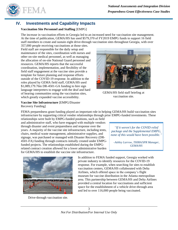

## **IV. Investments and Capability Impacts**

#### **Vaccination Site Personnel and Staffing** [EMPG]

The increase in vaccination efforts in Georgia led to an increased need for vaccination site management. At the time of publication, GEMA/HS has used \$579,370 of FY2019 EMPG funds to support 16 field staff members to create and sustain eight drive-through vaccination sites throughout Georgia, with over

357,000 people receiving vaccinations at those sites. Field staff are responsible for the daily setup and maintenance of the sites, coordination with nurses and other on-site medical personnel, as well as managing the allocation of on-site National Guard personnel and resources. GEMA/HS reports that the successful coordination, implementation, and flexibility of the field staff engagement at the vaccine sites provide a template for future planning and response efforts outside of the COVID-19 response. In addition to the roles played by GEMA field staff, GEMA/HS used \$1,089,179.76in DR-4501-GA funding to hire sign language interpreters to engage with the deaf and hard of hearing communities using the vaccination sites, which greatly expanded vaccine accessibility.

**Vaccine Site Infrastructure** [EMPG/Disaster Recovery Funding]

FEMA preparedness grant funding played an important role in helping GEMA/HS build vaccination sites infrastructure by supporting critical vendor relationships through prior EMPG-funded investments. These

relationships were built by EMPG-funded positions, such as field and administrative staff, who have engaged with multiple vendors through disaster and event preparedness and response over the years. A majority of the vaccine site infrastructure, including tents, chairs, medical waste management, administrative supplies, and signage, was purchased or managed with Disaster Recovery (DR-4501-FA) funding through contracts initially created under EMPGfunded projects. The relationships established during the EMPGrelated contract creation allowed for a lower administrative burden for GEMA/HS to establish the vaccine site infrastructure.



Drive-through vaccination site.



GEMA/HS field staff briefing at vaccination site.

*"If it weren't for the COVID relief package and the Supplemental EMPG, none of this would have been possible."*

*–Ashley Larrow, THIRA/SPR Manager, GEMA/HS*

In addition to FEMA funded support, Georgia worked with private industry to identify resources for the COVID-19 response. For example, when searching for sites to establish vaccination centers, GEMA/HS collaborated with Delta Airlines, which offered space in the company's flight museum for vaccine distribution in the Atlanta metropolitan area. This partnership between GEMA/HS and Delta Airlines provided a central location for vaccinations and sufficient space for the establishment of a vehicle drive-through area and led to over 116,000 people being vaccinated.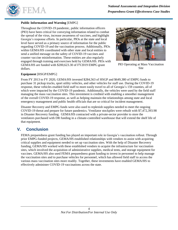

#### **Public Information and Warning** [EMPG]

Throughout the COVID-19 pandemic, public information officers (PIO) have been critical for conveying information related to combat the spread of the virus, increase awareness of vaccines, and highlight Georgia's response efforts. In particular, PIOs at the state and local level have served as a primary source of information for the public regarding COVID-19 and the vaccination process. Additionally, PIOs within GEMA/HS coordinated with other state and local entities to send a unified message on the safety of COVID-19 vaccines and counter vaccine misinformation. These entities are also regularly engaged through training and exercises held by GEMA/HS. PIOs with GEMA/HS are funded with \$200,623.30 of FY2019 EMPG grant dollars.



PIO Operating at Mass Vaccination Site

#### **Equipment** [HSGP/EMPG]

From FY 2013 to FY 2020, GEMA/HS invested \$284,563 of HSGP and \$649,380 of EMPG funds to purchase 31 pickup trucks, sport utility vehicles, and other vehicles for staff use. During the COVID-19 response, these vehicles enabled field staff to more easily travel to all of Georgia's 159 counties, all of which were impacted by the COVID-19 pandemic. Additionally, the vehicles were used by the field staff managing the mass vaccination sites. This investment is credited with enabling a smoother management of the overall COVID-19 response, as well as helping maintain the relationships among state and local emergency management and public health officials that are so critical for incident management.

Disaster Recovery and EMPG funds were also used to replenish supplies needed to meet the ongoing COVID-19 threat and prepare for future pandemics. Ventilator stockpiles were rebuilt with \$7,472,393.98 in Disaster Recovery funding. GEMA/HS contracted with a private-sector provider to store the ventilators purchased with DR funding in a climate-controlled warehouse that will extend the shelf life of that equipment.

## **V. Conclusion**

FEMA preparedness grant funding has played an important role in Georgia's vaccination rollout. Through prior EMPG-funded projects, GEMA/HS established relationships with vendors to assist with acquiring critical supplies and equipment needed to set up vaccination sites. With the help of Disaster Recovery funding, GEMA/HS worked with these established vendors to acquire the infrastructure for vaccination sites, which involved the acquisition of administrative supplies, medical tents, and storage equipment for vaccines. GEMA/HS also used FEMA preparedness grant funding to invest in personnel to help manage the vaccination sites and to purchase vehicles for personnel, which has allowed field staff to access the various mass vaccination sites more readily. Together, these investments have enabled GEMA/HS to effectively administer COVID-19 vaccinations across the state.